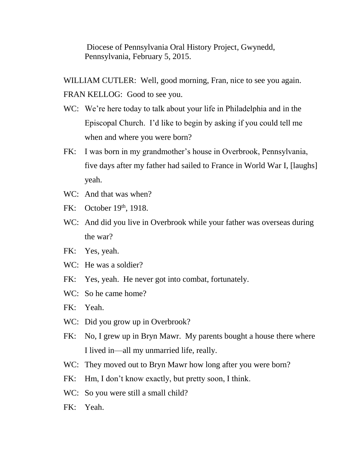Diocese of Pennsylvania Oral History Project, Gwynedd, Pennsylvania, February 5, 2015.

WILLIAM CUTLER: Well, good morning, Fran, nice to see you again. FRAN KELLOG: Good to see you.

- WC: We're here today to talk about your life in Philadelphia and in the Episcopal Church. I'd like to begin by asking if you could tell me when and where you were born?
- FK: I was born in my grandmother's house in Overbrook, Pennsylvania, five days after my father had sailed to France in World War I, [laughs] yeah.
- WC: And that was when?
- FK: October 19th, 1918.
- WC: And did you live in Overbrook while your father was overseas during the war?
- FK: Yes, yeah.
- WC: He was a soldier?
- FK: Yes, yeah. He never got into combat, fortunately.
- WC: So he came home?
- FK: Yeah.
- WC: Did you grow up in Overbrook?
- FK: No, I grew up in Bryn Mawr. My parents bought a house there where I lived in—all my unmarried life, really.
- WC: They moved out to Bryn Mawr how long after you were born?
- FK: Hm, I don't know exactly, but pretty soon, I think.
- WC: So you were still a small child?
- FK: Yeah.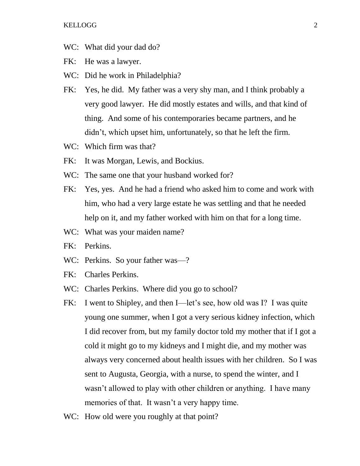- WC: What did your dad do?
- FK: He was a lawyer.
- WC: Did he work in Philadelphia?
- FK: Yes, he did. My father was a very shy man, and I think probably a very good lawyer. He did mostly estates and wills, and that kind of thing. And some of his contemporaries became partners, and he didn't, which upset him, unfortunately, so that he left the firm.
- WC: Which firm was that?
- FK: It was Morgan, Lewis, and Bockius.
- WC: The same one that your husband worked for?
- FK: Yes, yes. And he had a friend who asked him to come and work with him, who had a very large estate he was settling and that he needed help on it, and my father worked with him on that for a long time.
- WC: What was your maiden name?
- FK: Perkins.
- WC: Perkins. So your father was—?
- FK: Charles Perkins.
- WC: Charles Perkins. Where did you go to school?
- FK: I went to Shipley, and then I—let's see, how old was I? I was quite young one summer, when I got a very serious kidney infection, which I did recover from, but my family doctor told my mother that if I got a cold it might go to my kidneys and I might die, and my mother was always very concerned about health issues with her children. So I was sent to Augusta, Georgia, with a nurse, to spend the winter, and I wasn't allowed to play with other children or anything. I have many memories of that. It wasn't a very happy time.
- WC: How old were you roughly at that point?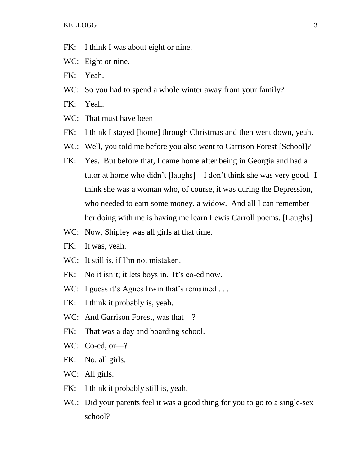- FK: I think I was about eight or nine.
- WC: Eight or nine.
- FK: Yeah.
- WC: So you had to spend a whole winter away from your family?
- FK: Yeah.
- WC: That must have been—
- FK: I think I stayed [home] through Christmas and then went down, yeah.
- WC: Well, you told me before you also went to Garrison Forest [School]?
- FK: Yes. But before that, I came home after being in Georgia and had a tutor at home who didn't [laughs]—I don't think she was very good. I think she was a woman who, of course, it was during the Depression, who needed to earn some money, a widow. And all I can remember her doing with me is having me learn Lewis Carroll poems. [Laughs]
- WC: Now, Shipley was all girls at that time.
- FK: It was, yeah.
- WC: It still is, if I'm not mistaken.
- FK: No it isn't; it lets boys in. It's co-ed now.
- WC: I guess it's Agnes Irwin that's remained ...
- FK: I think it probably is, yeah.
- WC: And Garrison Forest, was that-?
- FK: That was a day and boarding school.
- WC: Co-ed, or—?
- FK: No, all girls.
- WC: All girls.
- FK: I think it probably still is, yeah.
- WC: Did your parents feel it was a good thing for you to go to a single-sex school?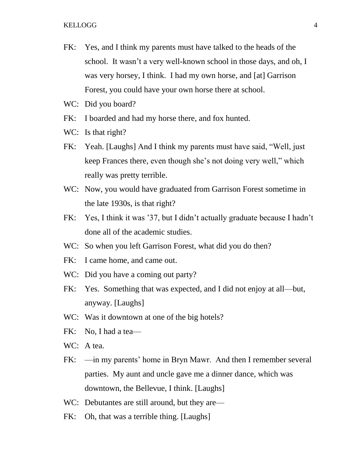- FK: Yes, and I think my parents must have talked to the heads of the school. It wasn't a very well-known school in those days, and oh, I was very horsey, I think. I had my own horse, and [at] Garrison Forest, you could have your own horse there at school.
- WC: Did you board?
- FK: I boarded and had my horse there, and fox hunted.
- WC: Is that right?
- FK: Yeah. [Laughs] And I think my parents must have said, "Well, just keep Frances there, even though she's not doing very well," which really was pretty terrible.
- WC: Now, you would have graduated from Garrison Forest sometime in the late 1930s, is that right?
- FK: Yes, I think it was '37, but I didn't actually graduate because I hadn't done all of the academic studies.
- WC: So when you left Garrison Forest, what did you do then?
- FK: I came home, and came out.
- WC: Did you have a coming out party?
- FK: Yes. Something that was expected, and I did not enjoy at all—but, anyway. [Laughs]
- WC: Was it downtown at one of the big hotels?
- FK: No, I had a tea—
- WC: A tea.
- FK: —in my parents' home in Bryn Mawr. And then I remember several parties. My aunt and uncle gave me a dinner dance, which was downtown, the Bellevue, I think. [Laughs]
- WC: Debutantes are still around, but they are—
- FK: Oh, that was a terrible thing. [Laughs]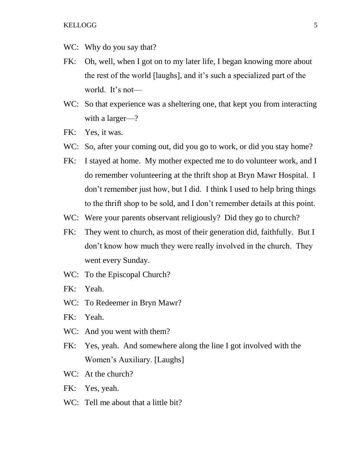- WC: Why do you say that?
- FK: Oh, well, when I got on to my later life, I began knowing more about the rest of the world [laughs], and it's such a specialized part of the world. It's not—
- WC: So that experience was a sheltering one, that kept you from interacting with a larger—?
- FK: Yes, it was.
- WC: So, after your coming out, did you go to work, or did you stay home?
- FK: I stayed at home. My mother expected me to do volunteer work, and I do remember volunteering at the thrift shop at Bryn Mawr Hospital. I don't remember just how, but I did. I think I used to help bring things to the thrift shop to be sold, and I don't remember details at this point.
- WC: Were your parents observant religiously? Did they go to church?
- FK: They went to church, as most of their generation did, faithfully. But I don't know how much they were really involved in the church. They went every Sunday.
- WC: To the Episcopal Church?
- FK: Yeah.
- WC: To Redeemer in Bryn Mawr?
- FK: Yeah.
- WC: And you went with them?
- FK: Yes, yeah. And somewhere along the line I got involved with the Women's Auxiliary. [Laughs]
- WC: At the church?
- FK: Yes, yeah.
- WC: Tell me about that a little bit?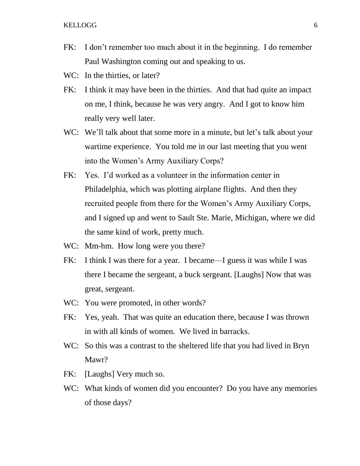### KELLOGG<sup>6</sup> 6

- FK: I don't remember too much about it in the beginning. I do remember Paul Washington coming out and speaking to us.
- WC: In the thirties, or later?
- FK: I think it may have been in the thirties. And that had quite an impact on me, I think, because he was very angry. And I got to know him really very well later.
- WC: We'll talk about that some more in a minute, but let's talk about your wartime experience. You told me in our last meeting that you went into the Women's Army Auxiliary Corps?
- FK: Yes. I'd worked as a volunteer in the information center in Philadelphia, which was plotting airplane flights. And then they recruited people from there for the Women's Army Auxiliary Corps, and I signed up and went to Sault Ste. Marie, Michigan, where we did the same kind of work, pretty much.
- WC: Mm-hm. How long were you there?
- FK: I think I was there for a year. I became—I guess it was while I was there I became the sergeant, a buck sergeant. [Laughs] Now that was great, sergeant.
- WC: You were promoted, in other words?
- FK: Yes, yeah. That was quite an education there, because I was thrown in with all kinds of women. We lived in barracks.
- WC: So this was a contrast to the sheltered life that you had lived in Bryn Mawr?
- FK: [Laughs] Very much so.
- WC: What kinds of women did you encounter? Do you have any memories of those days?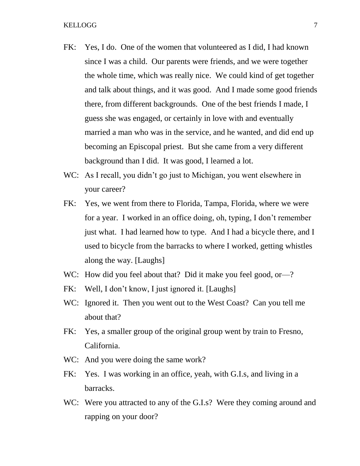- FK: Yes, I do. One of the women that volunteered as I did, I had known since I was a child. Our parents were friends, and we were together the whole time, which was really nice. We could kind of get together and talk about things, and it was good. And I made some good friends there, from different backgrounds. One of the best friends I made, I guess she was engaged, or certainly in love with and eventually married a man who was in the service, and he wanted, and did end up becoming an Episcopal priest. But she came from a very different background than I did. It was good, I learned a lot.
- WC: As I recall, you didn't go just to Michigan, you went elsewhere in your career?
- FK: Yes, we went from there to Florida, Tampa, Florida, where we were for a year. I worked in an office doing, oh, typing, I don't remember just what. I had learned how to type. And I had a bicycle there, and I used to bicycle from the barracks to where I worked, getting whistles along the way. [Laughs]
- WC: How did you feel about that? Did it make you feel good, or—?
- FK: Well, I don't know, I just ignored it. [Laughs]
- WC: Ignored it. Then you went out to the West Coast? Can you tell me about that?
- FK: Yes, a smaller group of the original group went by train to Fresno, California.
- WC: And you were doing the same work?
- FK: Yes. I was working in an office, yeah, with G.I.s, and living in a barracks.
- WC: Were you attracted to any of the G.I.s? Were they coming around and rapping on your door?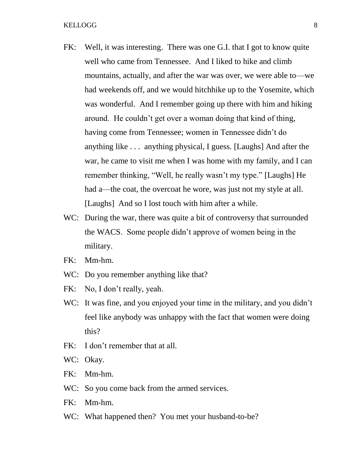- FK: Well, it was interesting. There was one G.I. that I got to know quite well who came from Tennessee. And I liked to hike and climb mountains, actually, and after the war was over, we were able to—we had weekends off, and we would hitchhike up to the Yosemite, which was wonderful. And I remember going up there with him and hiking around. He couldn't get over a woman doing that kind of thing, having come from Tennessee; women in Tennessee didn't do anything like . . . anything physical, I guess. [Laughs] And after the war, he came to visit me when I was home with my family, and I can remember thinking, "Well, he really wasn't my type." [Laughs] He had a—the coat, the overcoat he wore, was just not my style at all. [Laughs] And so I lost touch with him after a while.
- WC: During the war, there was quite a bit of controversy that surrounded the WACS. Some people didn't approve of women being in the military.
- FK: Mm-hm.
- WC: Do you remember anything like that?
- FK: No, I don't really, yeah.
- WC: It was fine, and you enjoyed your time in the military, and you didn't feel like anybody was unhappy with the fact that women were doing this?
- FK: I don't remember that at all.
- WC: Okay.
- FK: Mm-hm.
- WC: So you come back from the armed services.
- FK: Mm-hm.
- WC: What happened then? You met your husband-to-be?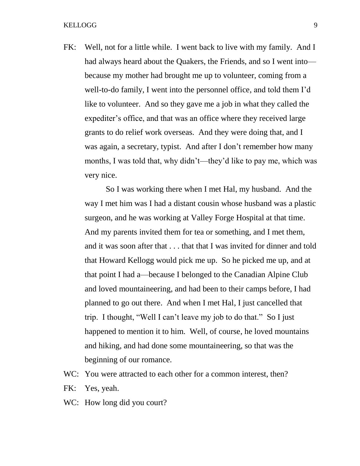FK: Well, not for a little while. I went back to live with my family. And I had always heard about the Quakers, the Friends, and so I went into because my mother had brought me up to volunteer, coming from a well-to-do family, I went into the personnel office, and told them I'd like to volunteer. And so they gave me a job in what they called the expediter's office, and that was an office where they received large grants to do relief work overseas. And they were doing that, and I was again, a secretary, typist. And after I don't remember how many months, I was told that, why didn't—they'd like to pay me, which was very nice.

So I was working there when I met Hal, my husband. And the way I met him was I had a distant cousin whose husband was a plastic surgeon, and he was working at Valley Forge Hospital at that time. And my parents invited them for tea or something, and I met them, and it was soon after that . . . that that I was invited for dinner and told that Howard Kellogg would pick me up. So he picked me up, and at that point I had a—because I belonged to the Canadian Alpine Club and loved mountaineering, and had been to their camps before, I had planned to go out there. And when I met Hal, I just cancelled that trip. I thought, "Well I can't leave my job to do that." So I just happened to mention it to him. Well, of course, he loved mountains and hiking, and had done some mountaineering, so that was the beginning of our romance.

- WC: You were attracted to each other for a common interest, then?
- FK: Yes, yeah.
- WC: How long did you court?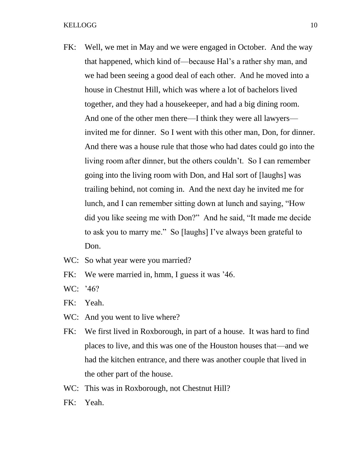- FK: Well, we met in May and we were engaged in October. And the way that happened, which kind of—because Hal's a rather shy man, and we had been seeing a good deal of each other. And he moved into a house in Chestnut Hill, which was where a lot of bachelors lived together, and they had a housekeeper, and had a big dining room. And one of the other men there—I think they were all lawyers invited me for dinner. So I went with this other man, Don, for dinner. And there was a house rule that those who had dates could go into the living room after dinner, but the others couldn't. So I can remember going into the living room with Don, and Hal sort of [laughs] was trailing behind, not coming in. And the next day he invited me for lunch, and I can remember sitting down at lunch and saying, "How did you like seeing me with Don?" And he said, "It made me decide to ask you to marry me." So [laughs] I've always been grateful to Don.
- WC: So what year were you married?
- FK: We were married in, hmm, I guess it was '46.
- WC: '46?
- FK: Yeah.
- WC: And you went to live where?
- FK: We first lived in Roxborough, in part of a house. It was hard to find places to live, and this was one of the Houston houses that—and we had the kitchen entrance, and there was another couple that lived in the other part of the house.
- WC: This was in Roxborough, not Chestnut Hill?
- FK: Yeah.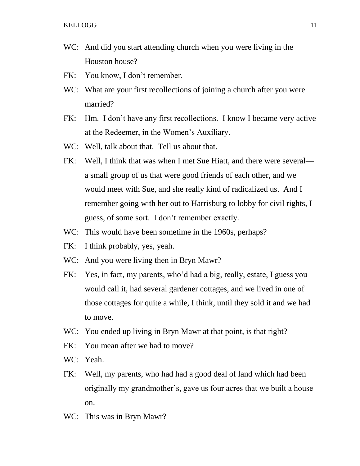- WC: And did you start attending church when you were living in the Houston house?
- FK: You know, I don't remember.
- WC: What are your first recollections of joining a church after you were married?
- FK: Hm. I don't have any first recollections. I know I became very active at the Redeemer, in the Women's Auxiliary.
- WC: Well, talk about that. Tell us about that.
- FK: Well, I think that was when I met Sue Hiatt, and there were several a small group of us that were good friends of each other, and we would meet with Sue, and she really kind of radicalized us. And I remember going with her out to Harrisburg to lobby for civil rights, I guess, of some sort. I don't remember exactly.
- WC: This would have been sometime in the 1960s, perhaps?
- FK: I think probably, yes, yeah.
- WC: And you were living then in Bryn Mawr?
- FK: Yes, in fact, my parents, who'd had a big, really, estate, I guess you would call it, had several gardener cottages, and we lived in one of those cottages for quite a while, I think, until they sold it and we had to move.
- WC: You ended up living in Bryn Mawr at that point, is that right?
- FK: You mean after we had to move?
- WC: Yeah.
- FK: Well, my parents, who had had a good deal of land which had been originally my grandmother's, gave us four acres that we built a house on.
- WC: This was in Bryn Mawr?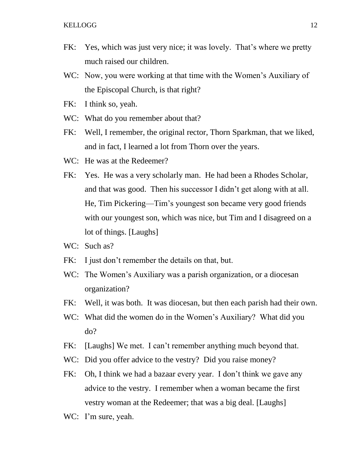- FK: Yes, which was just very nice; it was lovely. That's where we pretty much raised our children.
- WC: Now, you were working at that time with the Women's Auxiliary of the Episcopal Church, is that right?
- FK: I think so, yeah.
- WC: What do you remember about that?
- FK: Well, I remember, the original rector, Thorn Sparkman, that we liked, and in fact, I learned a lot from Thorn over the years.
- WC: He was at the Redeemer?
- FK: Yes. He was a very scholarly man. He had been a Rhodes Scholar, and that was good. Then his successor I didn't get along with at all. He, Tim Pickering—Tim's youngest son became very good friends with our youngest son, which was nice, but Tim and I disagreed on a lot of things. [Laughs]
- WC: Such as?
- FK: I just don't remember the details on that, but.
- WC: The Women's Auxiliary was a parish organization, or a diocesan organization?
- FK: Well, it was both. It was diocesan, but then each parish had their own.
- WC: What did the women do in the Women's Auxiliary? What did you do?
- FK: [Laughs] We met. I can't remember anything much beyond that.
- WC: Did you offer advice to the vestry? Did you raise money?
- FK: Oh, I think we had a bazaar every year. I don't think we gave any advice to the vestry. I remember when a woman became the first vestry woman at the Redeemer; that was a big deal. [Laughs]
- WC: I'm sure, yeah.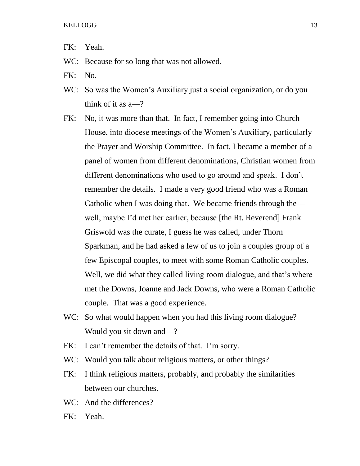- FK: Yeah.
- WC: Because for so long that was not allowed.
- FK: No.
- WC: So was the Women's Auxiliary just a social organization, or do you think of it as a—?
- FK: No, it was more than that. In fact, I remember going into Church House, into diocese meetings of the Women's Auxiliary, particularly the Prayer and Worship Committee. In fact, I became a member of a panel of women from different denominations, Christian women from different denominations who used to go around and speak. I don't remember the details. I made a very good friend who was a Roman Catholic when I was doing that. We became friends through the well, maybe I'd met her earlier, because [the Rt. Reverend] Frank Griswold was the curate, I guess he was called, under Thorn Sparkman, and he had asked a few of us to join a couples group of a few Episcopal couples, to meet with some Roman Catholic couples. Well, we did what they called living room dialogue, and that's where met the Downs, Joanne and Jack Downs, who were a Roman Catholic couple. That was a good experience.
- WC: So what would happen when you had this living room dialogue? Would you sit down and—?
- FK: I can't remember the details of that. I'm sorry.
- WC: Would you talk about religious matters, or other things?
- FK: I think religious matters, probably, and probably the similarities between our churches.
- WC: And the differences?
- FK: Yeah.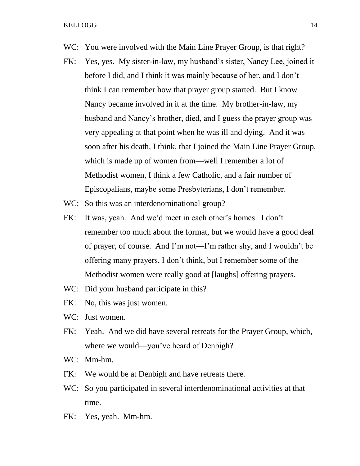- WC: You were involved with the Main Line Prayer Group, is that right?
- FK: Yes, yes. My sister-in-law, my husband's sister, Nancy Lee, joined it before I did, and I think it was mainly because of her, and I don't think I can remember how that prayer group started. But I know Nancy became involved in it at the time. My brother-in-law, my husband and Nancy's brother, died, and I guess the prayer group was very appealing at that point when he was ill and dying. And it was soon after his death, I think, that I joined the Main Line Prayer Group, which is made up of women from—well I remember a lot of Methodist women, I think a few Catholic, and a fair number of Episcopalians, maybe some Presbyterians, I don't remember.
- WC: So this was an interdenominational group?
- FK: It was, yeah. And we'd meet in each other's homes. I don't remember too much about the format, but we would have a good deal of prayer, of course. And I'm not—I'm rather shy, and I wouldn't be offering many prayers, I don't think, but I remember some of the Methodist women were really good at [laughs] offering prayers.
- WC: Did your husband participate in this?
- FK: No, this was just women.
- WC: Just women.
- FK: Yeah. And we did have several retreats for the Prayer Group, which, where we would—you've heard of Denbigh?
- WC: Mm-hm.
- FK: We would be at Denbigh and have retreats there.
- WC: So you participated in several interdenominational activities at that time.
- FK: Yes, yeah. Mm-hm.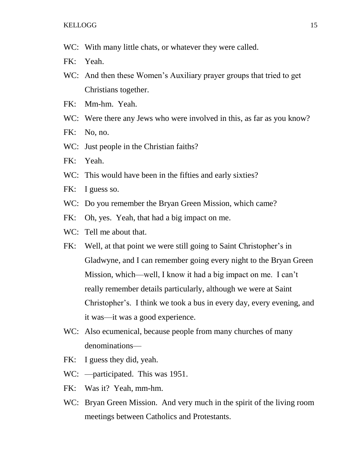- WC: With many little chats, or whatever they were called.
- FK: Yeah.
- WC: And then these Women's Auxiliary prayer groups that tried to get Christians together.
- FK: Mm-hm. Yeah.
- WC: Were there any Jews who were involved in this, as far as you know?
- FK: No, no.
- WC: Just people in the Christian faiths?
- FK: Yeah.
- WC: This would have been in the fifties and early sixties?
- FK: I guess so.
- WC: Do you remember the Bryan Green Mission, which came?
- FK: Oh, yes. Yeah, that had a big impact on me.
- WC: Tell me about that.
- FK: Well, at that point we were still going to Saint Christopher's in Gladwyne, and I can remember going every night to the Bryan Green Mission, which—well, I know it had a big impact on me. I can't really remember details particularly, although we were at Saint Christopher's. I think we took a bus in every day, every evening, and it was—it was a good experience.
- WC: Also ecumenical, because people from many churches of many denominations—
- FK: I guess they did, yeah.
- WC: —participated. This was 1951.
- FK: Was it? Yeah, mm-hm.
- WC: Bryan Green Mission. And very much in the spirit of the living room meetings between Catholics and Protestants.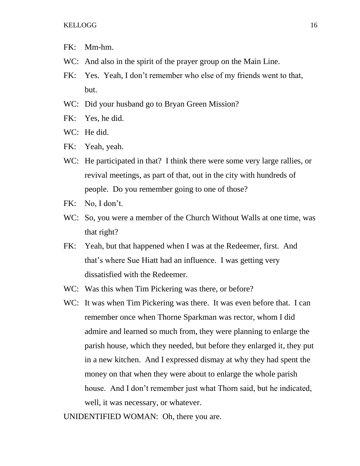- FK: Mm-hm.
- WC: And also in the spirit of the prayer group on the Main Line.
- FK: Yes. Yeah, I don't remember who else of my friends went to that, but.
- WC: Did your husband go to Bryan Green Mission?
- FK: Yes, he did.
- WC: He did.
- FK: Yeah, yeah.
- WC: He participated in that? I think there were some very large rallies, or revival meetings, as part of that, out in the city with hundreds of people. Do you remember going to one of those?
- FK: No, I don't.
- WC: So, you were a member of the Church Without Walls at one time, was that right?
- FK: Yeah, but that happened when I was at the Redeemer, first. And that's where Sue Hiatt had an influence. I was getting very dissatisfied with the Redeemer.
- WC: Was this when Tim Pickering was there, or before?
- WC: It was when Tim Pickering was there. It was even before that. I can remember once when Thorne Sparkman was rector, whom I did admire and learned so much from, they were planning to enlarge the parish house, which they needed, but before they enlarged it, they put in a new kitchen. And I expressed dismay at why they had spent the money on that when they were about to enlarge the whole parish house. And I don't remember just what Thorn said, but he indicated, well, it was necessary, or whatever.

UNIDENTIFIED WOMAN: Oh, there you are.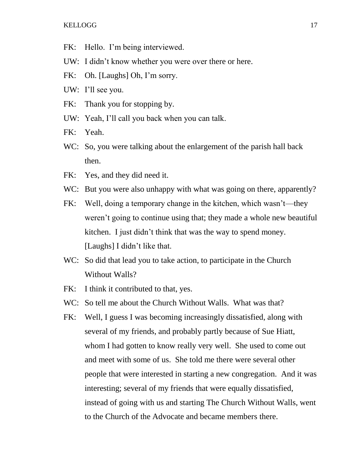- FK: Hello. I'm being interviewed.
- UW: I didn't know whether you were over there or here.
- FK: Oh. [Laughs] Oh, I'm sorry.
- UW: I'll see you.
- FK: Thank you for stopping by.
- UW: Yeah, I'll call you back when you can talk.
- FK: Yeah.
- WC: So, you were talking about the enlargement of the parish hall back then.
- FK: Yes, and they did need it.
- WC: But you were also unhappy with what was going on there, apparently?
- FK: Well, doing a temporary change in the kitchen, which wasn't—they weren't going to continue using that; they made a whole new beautiful kitchen. I just didn't think that was the way to spend money. [Laughs] I didn't like that.
- WC: So did that lead you to take action, to participate in the Church Without Walls?
- FK: I think it contributed to that, yes.
- WC: So tell me about the Church Without Walls. What was that?
- FK: Well, I guess I was becoming increasingly dissatisfied, along with several of my friends, and probably partly because of Sue Hiatt, whom I had gotten to know really very well. She used to come out and meet with some of us. She told me there were several other people that were interested in starting a new congregation. And it was interesting; several of my friends that were equally dissatisfied, instead of going with us and starting The Church Without Walls, went to the Church of the Advocate and became members there.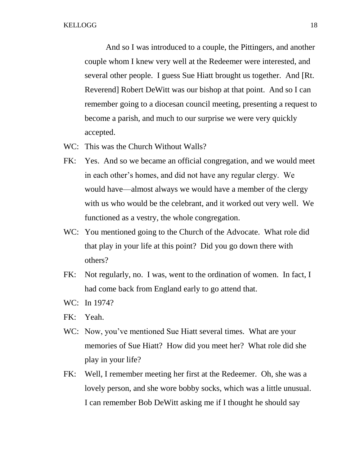And so I was introduced to a couple, the Pittingers, and another couple whom I knew very well at the Redeemer were interested, and several other people. I guess Sue Hiatt brought us together. And [Rt. Reverend] Robert DeWitt was our bishop at that point. And so I can remember going to a diocesan council meeting, presenting a request to become a parish, and much to our surprise we were very quickly accepted.

- WC: This was the Church Without Walls?
- FK: Yes. And so we became an official congregation, and we would meet in each other's homes, and did not have any regular clergy. We would have—almost always we would have a member of the clergy with us who would be the celebrant, and it worked out very well. We functioned as a vestry, the whole congregation.
- WC: You mentioned going to the Church of the Advocate. What role did that play in your life at this point? Did you go down there with others?
- FK: Not regularly, no. I was, went to the ordination of women. In fact, I had come back from England early to go attend that.
- WC: In 1974?
- FK: Yeah.
- WC: Now, you've mentioned Sue Hiatt several times. What are your memories of Sue Hiatt? How did you meet her? What role did she play in your life?
- FK: Well, I remember meeting her first at the Redeemer. Oh, she was a lovely person, and she wore bobby socks, which was a little unusual. I can remember Bob DeWitt asking me if I thought he should say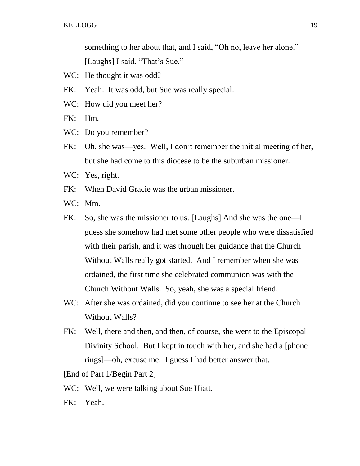something to her about that, and I said, "Oh no, leave her alone." [Laughs] I said, "That's Sue."

- WC: He thought it was odd?
- FK: Yeah. It was odd, but Sue was really special.
- WC: How did you meet her?

FK: Hm.

- WC: Do you remember?
- FK: Oh, she was—yes. Well, I don't remember the initial meeting of her, but she had come to this diocese to be the suburban missioner.
- WC: Yes, right.
- FK: When David Gracie was the urban missioner.
- WC: Mm.
- FK: So, she was the missioner to us. [Laughs] And she was the one—I guess she somehow had met some other people who were dissatisfied with their parish, and it was through her guidance that the Church Without Walls really got started. And I remember when she was ordained, the first time she celebrated communion was with the Church Without Walls. So, yeah, she was a special friend.
- WC: After she was ordained, did you continue to see her at the Church Without Walls?
- FK: Well, there and then, and then, of course, she went to the Episcopal Divinity School. But I kept in touch with her, and she had a [phone rings]—oh, excuse me. I guess I had better answer that.

[End of Part 1/Begin Part 2]

- WC: Well, we were talking about Sue Hiatt.
- FK: Yeah.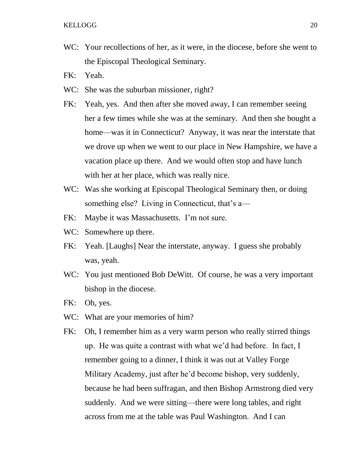- WC: Your recollections of her, as it were, in the diocese, before she went to the Episcopal Theological Seminary.
- FK: Yeah.
- WC: She was the suburban missioner, right?
- FK: Yeah, yes. And then after she moved away, I can remember seeing her a few times while she was at the seminary. And then she bought a home—was it in Connecticut? Anyway, it was near the interstate that we drove up when we went to our place in New Hampshire, we have a vacation place up there. And we would often stop and have lunch with her at her place, which was really nice.
- WC: Was she working at Episcopal Theological Seminary then, or doing something else? Living in Connecticut, that's a—
- FK: Maybe it was Massachusetts. I'm not sure.
- WC: Somewhere up there.
- FK: Yeah. [Laughs] Near the interstate, anyway. I guess she probably was, yeah.
- WC: You just mentioned Bob DeWitt. Of course, he was a very important bishop in the diocese.
- FK: Oh, yes.
- WC: What are your memories of him?
- FK: Oh, I remember him as a very warm person who really stirred things up. He was quite a contrast with what we'd had before. In fact, I remember going to a dinner, I think it was out at Valley Forge Military Academy, just after he'd become bishop, very suddenly, because he had been suffragan, and then Bishop Armstrong died very suddenly. And we were sitting—there were long tables, and right across from me at the table was Paul Washington. And I can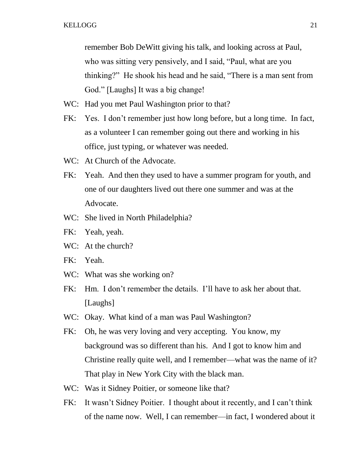remember Bob DeWitt giving his talk, and looking across at Paul, who was sitting very pensively, and I said, "Paul, what are you thinking?" He shook his head and he said, "There is a man sent from God." [Laughs] It was a big change!

- WC: Had you met Paul Washington prior to that?
- FK: Yes. I don't remember just how long before, but a long time. In fact, as a volunteer I can remember going out there and working in his office, just typing, or whatever was needed.
- WC: At Church of the Advocate.
- FK: Yeah. And then they used to have a summer program for youth, and one of our daughters lived out there one summer and was at the Advocate.
- WC: She lived in North Philadelphia?
- FK: Yeah, yeah.
- WC: At the church?
- FK: Yeah.
- WC: What was she working on?
- FK: Hm. I don't remember the details. I'll have to ask her about that. [Laughs]
- WC: Okay. What kind of a man was Paul Washington?
- FK: Oh, he was very loving and very accepting. You know, my background was so different than his. And I got to know him and Christine really quite well, and I remember—what was the name of it? That play in New York City with the black man.
- WC: Was it Sidney Poitier, or someone like that?
- FK: It wasn't Sidney Poitier. I thought about it recently, and I can't think of the name now. Well, I can remember—in fact, I wondered about it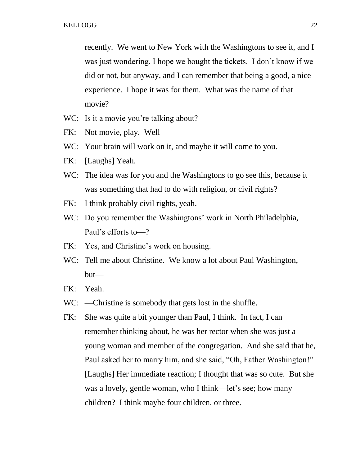recently. We went to New York with the Washingtons to see it, and I was just wondering, I hope we bought the tickets. I don't know if we did or not, but anyway, and I can remember that being a good, a nice experience. I hope it was for them. What was the name of that movie?

- WC: Is it a movie you're talking about?
- FK: Not movie, play. Well—
- WC: Your brain will work on it, and maybe it will come to you.
- FK: [Laughs] Yeah.
- WC: The idea was for you and the Washingtons to go see this, because it was something that had to do with religion, or civil rights?
- FK: I think probably civil rights, yeah.
- WC: Do you remember the Washingtons' work in North Philadelphia, Paul's efforts to—?
- FK: Yes, and Christine's work on housing.
- WC: Tell me about Christine. We know a lot about Paul Washington, but—
- FK: Yeah.
- WC: —Christine is somebody that gets lost in the shuffle.
- FK: She was quite a bit younger than Paul, I think. In fact, I can remember thinking about, he was her rector when she was just a young woman and member of the congregation. And she said that he, Paul asked her to marry him, and she said, "Oh, Father Washington!" [Laughs] Her immediate reaction; I thought that was so cute. But she was a lovely, gentle woman, who I think—let's see; how many children? I think maybe four children, or three.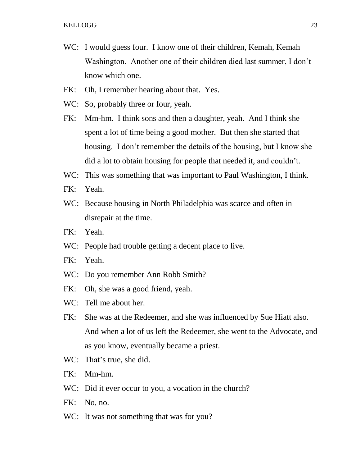- WC: I would guess four. I know one of their children, Kemah, Kemah Washington. Another one of their children died last summer, I don't know which one.
- FK: Oh, I remember hearing about that. Yes.
- WC: So, probably three or four, yeah.
- FK: Mm-hm. I think sons and then a daughter, yeah. And I think she spent a lot of time being a good mother. But then she started that housing. I don't remember the details of the housing, but I know she did a lot to obtain housing for people that needed it, and couldn't.
- WC: This was something that was important to Paul Washington, I think.
- FK: Yeah.
- WC: Because housing in North Philadelphia was scarce and often in disrepair at the time.
- FK: Yeah.
- WC: People had trouble getting a decent place to live.
- FK: Yeah.
- WC: Do you remember Ann Robb Smith?
- FK: Oh, she was a good friend, yeah.
- WC: Tell me about her.
- FK: She was at the Redeemer, and she was influenced by Sue Hiatt also. And when a lot of us left the Redeemer, she went to the Advocate, and as you know, eventually became a priest.
- WC: That's true, she did.
- FK: Mm-hm.
- WC: Did it ever occur to you, a vocation in the church?
- FK: No, no.
- WC: It was not something that was for you?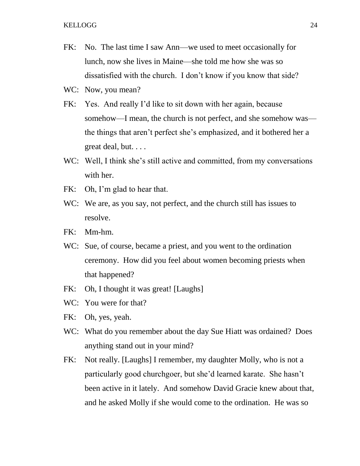- FK: No. The last time I saw Ann—we used to meet occasionally for lunch, now she lives in Maine—she told me how she was so dissatisfied with the church. I don't know if you know that side?
- WC: Now, you mean?
- FK: Yes. And really I'd like to sit down with her again, because somehow—I mean, the church is not perfect, and she somehow was the things that aren't perfect she's emphasized, and it bothered her a great deal, but. . . .
- WC: Well, I think she's still active and committed, from my conversations with her.
- FK: Oh, I'm glad to hear that.
- WC: We are, as you say, not perfect, and the church still has issues to resolve.
- FK: Mm-hm.
- WC: Sue, of course, became a priest, and you went to the ordination ceremony. How did you feel about women becoming priests when that happened?
- FK: Oh, I thought it was great! [Laughs]
- WC: You were for that?
- FK: Oh, yes, yeah.
- WC: What do you remember about the day Sue Hiatt was ordained? Does anything stand out in your mind?
- FK: Not really. [Laughs] I remember, my daughter Molly, who is not a particularly good churchgoer, but she'd learned karate. She hasn't been active in it lately. And somehow David Gracie knew about that, and he asked Molly if she would come to the ordination. He was so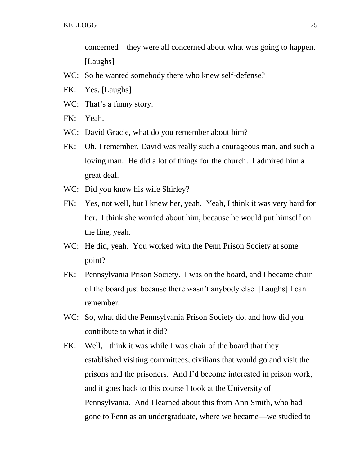concerned—they were all concerned about what was going to happen. [Laughs]

- WC: So he wanted somebody there who knew self-defense?
- FK: Yes. [Laughs]
- WC: That's a funny story.
- FK: Yeah.
- WC: David Gracie, what do you remember about him?
- FK: Oh, I remember, David was really such a courageous man, and such a loving man. He did a lot of things for the church. I admired him a great deal.
- WC: Did you know his wife Shirley?
- FK: Yes, not well, but I knew her, yeah. Yeah, I think it was very hard for her. I think she worried about him, because he would put himself on the line, yeah.
- WC: He did, yeah. You worked with the Penn Prison Society at some point?
- FK: Pennsylvania Prison Society. I was on the board, and I became chair of the board just because there wasn't anybody else. [Laughs] I can remember.
- WC: So, what did the Pennsylvania Prison Society do, and how did you contribute to what it did?
- FK: Well, I think it was while I was chair of the board that they established visiting committees, civilians that would go and visit the prisons and the prisoners. And I'd become interested in prison work, and it goes back to this course I took at the University of Pennsylvania. And I learned about this from Ann Smith, who had gone to Penn as an undergraduate, where we became—we studied to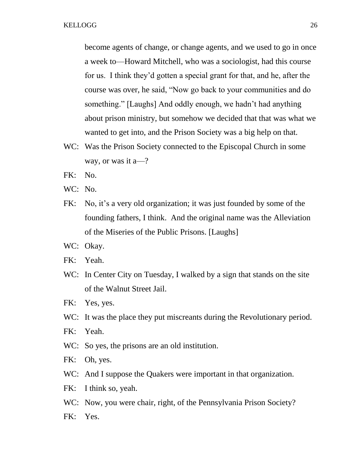become agents of change, or change agents, and we used to go in once a week to—Howard Mitchell, who was a sociologist, had this course for us. I think they'd gotten a special grant for that, and he, after the course was over, he said, "Now go back to your communities and do something." [Laughs] And oddly enough, we hadn't had anything about prison ministry, but somehow we decided that that was what we wanted to get into, and the Prison Society was a big help on that.

- WC: Was the Prison Society connected to the Episcopal Church in some way, or was it a—?
- FK: No.
- WC: No.
- FK: No, it's a very old organization; it was just founded by some of the founding fathers, I think. And the original name was the Alleviation of the Miseries of the Public Prisons. [Laughs]
- WC: Okay.
- FK: Yeah.
- WC: In Center City on Tuesday, I walked by a sign that stands on the site of the Walnut Street Jail.
- FK: Yes, yes.
- WC: It was the place they put miscreants during the Revolutionary period.
- FK: Yeah.
- WC: So yes, the prisons are an old institution.
- FK: Oh, yes.
- WC: And I suppose the Quakers were important in that organization.
- FK: I think so, yeah.
- WC: Now, you were chair, right, of the Pennsylvania Prison Society?
- FK: Yes.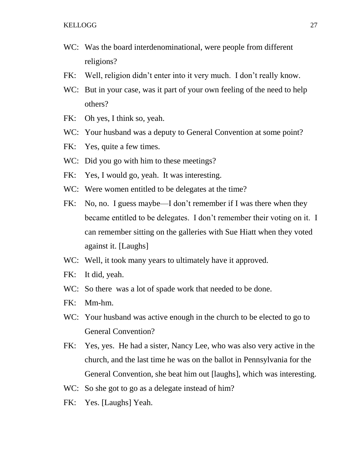- WC: Was the board interdenominational, were people from different religions?
- FK: Well, religion didn't enter into it very much. I don't really know.
- WC: But in your case, was it part of your own feeling of the need to help others?
- FK: Oh yes, I think so, yeah.
- WC: Your husband was a deputy to General Convention at some point?
- FK: Yes, quite a few times.
- WC: Did you go with him to these meetings?
- FK: Yes, I would go, yeah. It was interesting.
- WC: Were women entitled to be delegates at the time?
- FK: No, no. I guess maybe—I don't remember if I was there when they became entitled to be delegates. I don't remember their voting on it. I can remember sitting on the galleries with Sue Hiatt when they voted against it. [Laughs]
- WC: Well, it took many years to ultimately have it approved.
- FK: It did, yeah.
- WC: So there was a lot of spade work that needed to be done.
- FK: Mm-hm.
- WC: Your husband was active enough in the church to be elected to go to General Convention?
- FK: Yes, yes. He had a sister, Nancy Lee, who was also very active in the church, and the last time he was on the ballot in Pennsylvania for the General Convention, she beat him out [laughs], which was interesting.
- WC: So she got to go as a delegate instead of him?
- FK: Yes. [Laughs] Yeah.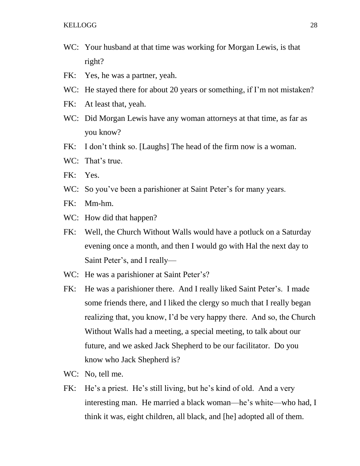- WC: Your husband at that time was working for Morgan Lewis, is that right?
- FK: Yes, he was a partner, yeah.
- WC: He stayed there for about 20 years or something, if I'm not mistaken?
- FK: At least that, yeah.
- WC: Did Morgan Lewis have any woman attorneys at that time, as far as you know?
- FK: I don't think so. [Laughs] The head of the firm now is a woman.
- WC: That's true.
- FK: Yes.
- WC: So you've been a parishioner at Saint Peter's for many years.
- FK: Mm-hm.
- WC: How did that happen?
- FK: Well, the Church Without Walls would have a potluck on a Saturday evening once a month, and then I would go with Hal the next day to Saint Peter's, and I really—
- WC: He was a parishioner at Saint Peter's?
- FK: He was a parishioner there. And I really liked Saint Peter's. I made some friends there, and I liked the clergy so much that I really began realizing that, you know, I'd be very happy there. And so, the Church Without Walls had a meeting, a special meeting, to talk about our future, and we asked Jack Shepherd to be our facilitator. Do you know who Jack Shepherd is?
- WC: No, tell me.
- FK: He's a priest. He's still living, but he's kind of old. And a very interesting man. He married a black woman—he's white—who had, I think it was, eight children, all black, and [he] adopted all of them.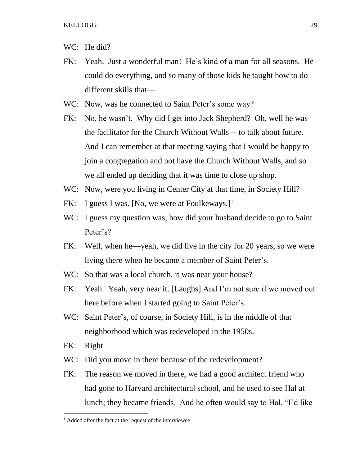- WC: He did?
- FK: Yeah. Just a wonderful man! He's kind of a man for all seasons. He could do everything, and so many of those kids he taught how to do different skills that—
- WC: Now, was he connected to Saint Peter's some way?
- FK: No, he wasn't. Why did I get into Jack Shepherd? Oh, well he was the facilitator for the Church Without Walls -- to talk about future. And I can remember at that meeting saying that I would be happy to join a congregation and not have the Church Without Walls, and so we all ended up deciding that it was time to close up shop.
- WC: Now, were you living in Center City at that time, in Society Hill?
- FK: I guess I was. [No, we were at Foulkeways.]<sup>1</sup>
- WC: I guess my question was, how did your husband decide to go to Saint Peter's?
- FK: Well, when he—yeah, we did live in the city for 20 years, so we were living there when he became a member of Saint Peter's.
- WC: So that was a local church, it was near your house?
- FK: Yeah. Yeah, very near it. [Laughs] And I'm not sure if we moved out here before when I started going to Saint Peter's.
- WC: Saint Peter's, of course, in Society Hill, is in the middle of that neighborhood which was redeveloped in the 1950s.
- FK: Right.

 $\overline{a}$ 

- WC: Did you move in there because of the redevelopment?
- FK: The reason we moved in there, we had a good architect friend who had gone to Harvard architectural school, and he used to see Hal at lunch; they became friends. And he often would say to Hal, "I'd like

<sup>&</sup>lt;sup>1</sup> Added after the fact at the request of the interviewee.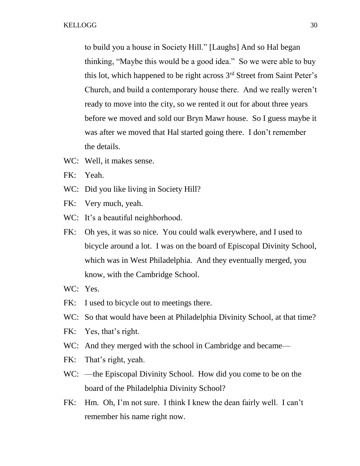to build you a house in Society Hill." [Laughs] And so Hal began thinking, "Maybe this would be a good idea." So we were able to buy this lot, which happened to be right across 3rd Street from Saint Peter's Church, and build a contemporary house there. And we really weren't ready to move into the city, so we rented it out for about three years before we moved and sold our Bryn Mawr house. So I guess maybe it was after we moved that Hal started going there. I don't remember the details.

- WC: Well, it makes sense.
- FK: Yeah.
- WC: Did you like living in Society Hill?
- FK: Very much, yeah.
- WC: It's a beautiful neighborhood.
- FK: Oh yes, it was so nice. You could walk everywhere, and I used to bicycle around a lot. I was on the board of Episcopal Divinity School, which was in West Philadelphia. And they eventually merged, you know, with the Cambridge School.
- WC: Yes.
- FK: I used to bicycle out to meetings there.
- WC: So that would have been at Philadelphia Divinity School, at that time?
- FK: Yes, that's right.
- WC: And they merged with the school in Cambridge and became—
- FK: That's right, yeah.
- WC: —the Episcopal Divinity School. How did you come to be on the board of the Philadelphia Divinity School?
- FK: Hm. Oh, I'm not sure. I think I knew the dean fairly well. I can't remember his name right now.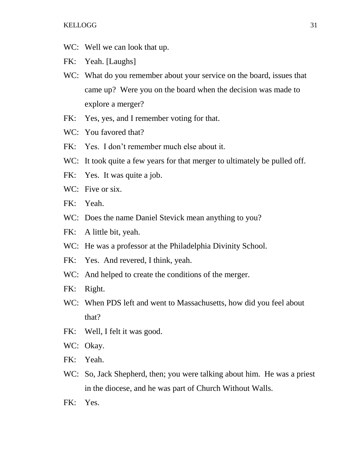WC: Well we can look that up.

FK: Yeah. [Laughs]

- WC: What do you remember about your service on the board, issues that came up? Were you on the board when the decision was made to explore a merger?
- FK: Yes, yes, and I remember voting for that.
- WC: You favored that?
- FK: Yes. I don't remember much else about it.
- WC: It took quite a few years for that merger to ultimately be pulled off.
- FK: Yes. It was quite a job.
- WC: Five or six.
- FK: Yeah.
- WC: Does the name Daniel Stevick mean anything to you?
- FK: A little bit, yeah.
- WC: He was a professor at the Philadelphia Divinity School.
- FK: Yes. And revered, I think, yeah.
- WC: And helped to create the conditions of the merger.
- FK: Right.
- WC: When PDS left and went to Massachusetts, how did you feel about that?
- FK: Well, I felt it was good.
- WC: Okay.
- FK: Yeah.
- WC: So, Jack Shepherd, then; you were talking about him. He was a priest in the diocese, and he was part of Church Without Walls.
- FK: Yes.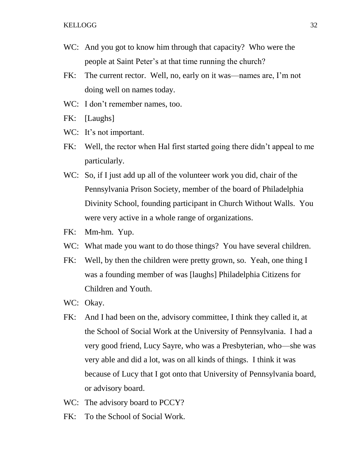- WC: And you got to know him through that capacity? Who were the people at Saint Peter's at that time running the church?
- FK: The current rector. Well, no, early on it was—names are, I'm not doing well on names today.
- WC: I don't remember names, too.
- FK: [Laughs]
- WC: It's not important.
- FK: Well, the rector when Hal first started going there didn't appeal to me particularly.
- WC: So, if I just add up all of the volunteer work you did, chair of the Pennsylvania Prison Society, member of the board of Philadelphia Divinity School, founding participant in Church Without Walls. You were very active in a whole range of organizations.
- FK: Mm-hm. Yup.
- WC: What made you want to do those things? You have several children.
- FK: Well, by then the children were pretty grown, so. Yeah, one thing I was a founding member of was [laughs] Philadelphia Citizens for Children and Youth.
- WC: Okay.
- FK: And I had been on the, advisory committee, I think they called it, at the School of Social Work at the University of Pennsylvania. I had a very good friend, Lucy Sayre, who was a Presbyterian, who—she was very able and did a lot, was on all kinds of things. I think it was because of Lucy that I got onto that University of Pennsylvania board, or advisory board.
- WC: The advisory board to PCCY?
- FK: To the School of Social Work.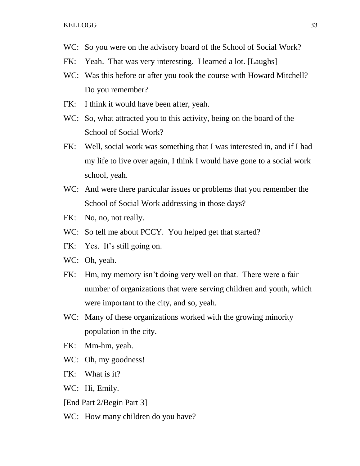- WC: So you were on the advisory board of the School of Social Work?
- FK: Yeah. That was very interesting. I learned a lot. [Laughs]
- WC: Was this before or after you took the course with Howard Mitchell? Do you remember?
- FK: I think it would have been after, yeah.
- WC: So, what attracted you to this activity, being on the board of the School of Social Work?
- FK: Well, social work was something that I was interested in, and if I had my life to live over again, I think I would have gone to a social work school, yeah.
- WC: And were there particular issues or problems that you remember the School of Social Work addressing in those days?
- FK: No, no, not really.
- WC: So tell me about PCCY. You helped get that started?
- FK: Yes. It's still going on.
- WC: Oh, yeah.
- FK: Hm, my memory isn't doing very well on that. There were a fair number of organizations that were serving children and youth, which were important to the city, and so, yeah.
- WC: Many of these organizations worked with the growing minority population in the city.
- FK: Mm-hm, yeah.
- WC: Oh, my goodness!
- FK: What is it?
- WC: Hi, Emily.
- [End Part 2/Begin Part 3]
- WC: How many children do you have?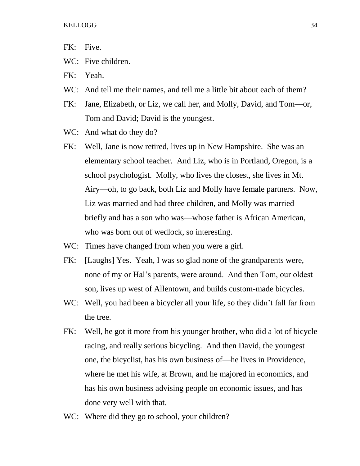- FK: Five.
- WC: Five children.
- FK: Yeah.
- WC: And tell me their names, and tell me a little bit about each of them?
- FK: Jane, Elizabeth, or Liz, we call her, and Molly, David, and Tom—or, Tom and David; David is the youngest.
- WC: And what do they do?
- FK: Well, Jane is now retired, lives up in New Hampshire. She was an elementary school teacher. And Liz, who is in Portland, Oregon, is a school psychologist. Molly, who lives the closest, she lives in Mt. Airy—oh, to go back, both Liz and Molly have female partners. Now, Liz was married and had three children, and Molly was married briefly and has a son who was—whose father is African American, who was born out of wedlock, so interesting.
- WC: Times have changed from when you were a girl.
- FK: [Laughs] Yes. Yeah, I was so glad none of the grandparents were, none of my or Hal's parents, were around. And then Tom, our oldest son, lives up west of Allentown, and builds custom-made bicycles.
- WC: Well, you had been a bicycler all your life, so they didn't fall far from the tree.
- FK: Well, he got it more from his younger brother, who did a lot of bicycle racing, and really serious bicycling. And then David, the youngest one, the bicyclist, has his own business of—he lives in Providence, where he met his wife, at Brown, and he majored in economics, and has his own business advising people on economic issues, and has done very well with that.
- WC: Where did they go to school, your children?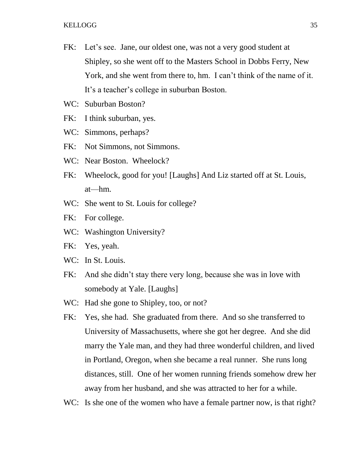- FK: Let's see. Jane, our oldest one, was not a very good student at Shipley, so she went off to the Masters School in Dobbs Ferry, New York, and she went from there to, hm. I can't think of the name of it. It's a teacher's college in suburban Boston.
- WC: Suburban Boston?
- FK: I think suburban, yes.
- WC: Simmons, perhaps?
- FK: Not Simmons, not Simmons.
- WC: Near Boston. Wheelock?
- FK: Wheelock, good for you! [Laughs] And Liz started off at St. Louis, at—hm.
- WC: She went to St. Louis for college?
- FK: For college.
- WC: Washington University?
- FK: Yes, yeah.
- WC: In St. Louis.
- FK: And she didn't stay there very long, because she was in love with somebody at Yale. [Laughs]
- WC: Had she gone to Shipley, too, or not?
- FK: Yes, she had. She graduated from there. And so she transferred to University of Massachusetts, where she got her degree. And she did marry the Yale man, and they had three wonderful children, and lived in Portland, Oregon, when she became a real runner. She runs long distances, still. One of her women running friends somehow drew her away from her husband, and she was attracted to her for a while.
- WC: Is she one of the women who have a female partner now, is that right?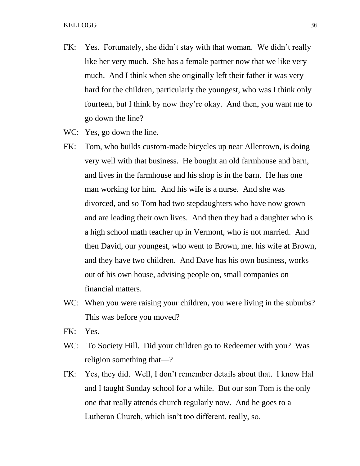- FK: Yes. Fortunately, she didn't stay with that woman. We didn't really like her very much. She has a female partner now that we like very much. And I think when she originally left their father it was very hard for the children, particularly the youngest, who was I think only fourteen, but I think by now they're okay. And then, you want me to go down the line?
- WC: Yes, go down the line.
- FK: Tom, who builds custom-made bicycles up near Allentown, is doing very well with that business. He bought an old farmhouse and barn, and lives in the farmhouse and his shop is in the barn. He has one man working for him. And his wife is a nurse. And she was divorced, and so Tom had two stepdaughters who have now grown and are leading their own lives. And then they had a daughter who is a high school math teacher up in Vermont, who is not married. And then David, our youngest, who went to Brown, met his wife at Brown, and they have two children. And Dave has his own business, works out of his own house, advising people on, small companies on financial matters.
- WC: When you were raising your children, you were living in the suburbs? This was before you moved?
- FK: Yes.
- WC: To Society Hill. Did your children go to Redeemer with you? Was religion something that—?
- FK: Yes, they did. Well, I don't remember details about that. I know Hal and I taught Sunday school for a while. But our son Tom is the only one that really attends church regularly now. And he goes to a Lutheran Church, which isn't too different, really, so.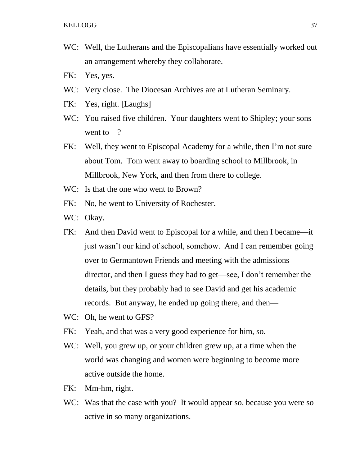- WC: Well, the Lutherans and the Episcopalians have essentially worked out an arrangement whereby they collaborate.
- FK: Yes, yes.
- WC: Very close. The Diocesan Archives are at Lutheran Seminary.
- FK: Yes, right. [Laughs]
- WC: You raised five children. Your daughters went to Shipley; your sons went to—?
- FK: Well, they went to Episcopal Academy for a while, then I'm not sure about Tom. Tom went away to boarding school to Millbrook, in Millbrook, New York, and then from there to college.
- WC: Is that the one who went to Brown?
- FK: No, he went to University of Rochester.
- WC: Okay.
- FK: And then David went to Episcopal for a while, and then I became—it just wasn't our kind of school, somehow. And I can remember going over to Germantown Friends and meeting with the admissions director, and then I guess they had to get—see, I don't remember the details, but they probably had to see David and get his academic records. But anyway, he ended up going there, and then—
- WC: Oh, he went to GFS?
- FK: Yeah, and that was a very good experience for him, so.
- WC: Well, you grew up, or your children grew up, at a time when the world was changing and women were beginning to become more active outside the home.
- FK: Mm-hm, right.
- WC: Was that the case with you? It would appear so, because you were so active in so many organizations.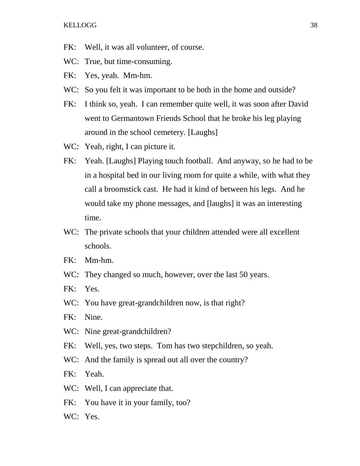- FK: Well, it was all volunteer, of course.
- WC: True, but time-consuming.
- FK: Yes, yeah. Mm-hm.
- WC: So you felt it was important to be both in the home and outside?
- FK: I think so, yeah. I can remember quite well, it was soon after David went to Germantown Friends School that he broke his leg playing around in the school cemetery. [Laughs]
- WC: Yeah, right, I can picture it.
- FK: Yeah. [Laughs] Playing touch football. And anyway, so he had to be in a hospital bed in our living room for quite a while, with what they call a broomstick cast. He had it kind of between his legs. And he would take my phone messages, and [laughs] it was an interesting time.
- WC: The private schools that your children attended were all excellent schools.
- FK: Mm-hm.
- WC: They changed so much, however, over the last 50 years.
- FK: Yes.
- WC: You have great-grandchildren now, is that right?
- FK: Nine.
- WC: Nine great-grandchildren?
- FK: Well, yes, two steps. Tom has two stepchildren, so yeah.
- WC: And the family is spread out all over the country?
- FK: Yeah.
- WC: Well, I can appreciate that.
- FK: You have it in your family, too?
- WC: Yes.